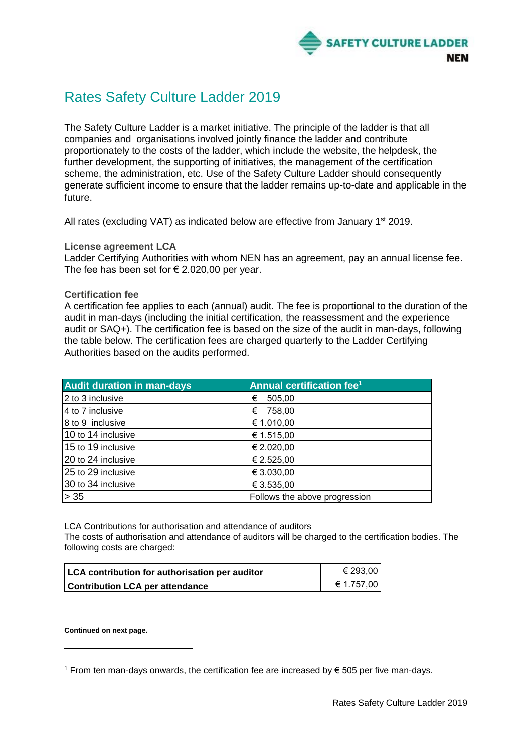

## Rates Safety Culture Ladder 2019

The Safety Culture Ladder is a market initiative. The principle of the ladder is that all companies and organisations involved jointly finance the ladder and contribute proportionately to the costs of the ladder, which include the website, the helpdesk, the further development, the supporting of initiatives, the management of the certification scheme, the administration, etc. Use of the Safety Culture Ladder should consequently generate sufficient income to ensure that the ladder remains up-to-date and applicable in the future.

All rates (excluding VAT) as indicated below are effective from January 1<sup>st</sup> 2019.

**License agreement LCA**

Ladder Certifying Authorities with whom NEN has an agreement, pay an annual license fee. The fee has been set for  $\epsilon$  2.020,00 per year.

## **Certification fee**

A certification fee applies to each (annual) audit. The fee is proportional to the duration of the audit in man-days (including the initial certification, the reassessment and the experience audit or SAQ+). The certification fee is based on the size of the audit in man-days, following the table below. The certification fees are charged quarterly to the Ladder Certifying Authorities based on the audits performed.

| <b>Audit duration in man-days</b> | Annual certification fee <sup>1</sup> |
|-----------------------------------|---------------------------------------|
| 2 to 3 inclusive                  | 505,00<br>€                           |
| 4 to 7 inclusive                  | 758,00<br>€                           |
| 8 to 9 inclusive                  | € 1.010,00                            |
| 10 to 14 inclusive                | € 1.515,00                            |
| 15 to 19 inclusive                | € 2.020,00                            |
| 20 to 24 inclusive                | € 2.525,00                            |
| 25 to 29 inclusive                | € 3.030,00                            |
| 30 to 34 inclusive                | € 3.535,00                            |
| $> 35$                            | Follows the above progression         |

LCA Contributions for authorisation and attendance of auditors

The costs of authorisation and attendance of auditors will be charged to the certification bodies. The following costs are charged:

| LCA contribution for authorisation per auditor | € 293,00       |
|------------------------------------------------|----------------|
| <b>Contribution LCA per attendance</b>         | $\in 1.757,00$ |

**Continued on next page.**

1

<sup>1</sup> From ten man-days onwards, the certification fee are increased by € 505 per five man-days.